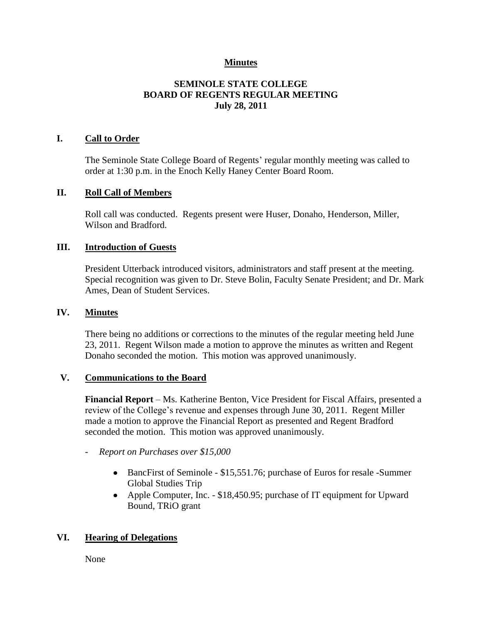## **Minutes**

## **SEMINOLE STATE COLLEGE BOARD OF REGENTS REGULAR MEETING July 28, 2011**

## **I. Call to Order**

The Seminole State College Board of Regents' regular monthly meeting was called to order at 1:30 p.m. in the Enoch Kelly Haney Center Board Room.

#### **II. Roll Call of Members**

Roll call was conducted. Regents present were Huser, Donaho, Henderson, Miller, Wilson and Bradford.

#### **III. Introduction of Guests**

President Utterback introduced visitors, administrators and staff present at the meeting. Special recognition was given to Dr. Steve Bolin, Faculty Senate President; and Dr. Mark Ames, Dean of Student Services.

#### **IV. Minutes**

There being no additions or corrections to the minutes of the regular meeting held June 23, 2011. Regent Wilson made a motion to approve the minutes as written and Regent Donaho seconded the motion. This motion was approved unanimously.

#### **V. Communications to the Board**

**Financial Report** – Ms. Katherine Benton, Vice President for Fiscal Affairs, presented a review of the College's revenue and expenses through June 30, 2011. Regent Miller made a motion to approve the Financial Report as presented and Regent Bradford seconded the motion. This motion was approved unanimously.

- *Report on Purchases over \$15,000*
	- BancFirst of Seminole \$15,551.76; purchase of Euros for resale -Summer Global Studies Trip
	- Apple Computer, Inc. \$18,450.95; purchase of IT equipment for Upward Bound, TRiO grant

## **VI. Hearing of Delegations**

None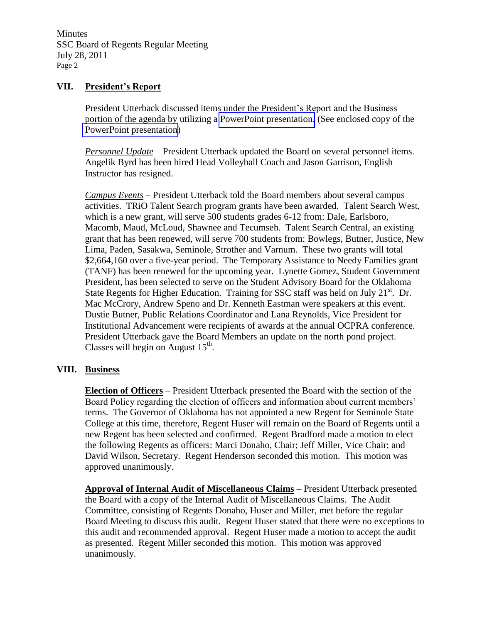Minutes SSC Board of Regents Regular Meeting July 28, 2011 Page 2

## **VII. President's Report**

President Utterback discussed items under the President's Report and the Business portion of the agenda by utilizing a PowerPoint presentation. (See enclosed copy of the PowerPoint presentation)

*Personnel Update* – President Utterback updated the Board on several personnel items. Angelik Byrd has been hired Head Volleyball Coach and Jason Garrison, English Instructor has resigned.

*Campus Events* – President Utterback told the Board members about several campus activities. TRiO Talent Search program grants have been awarded. Talent Search West, which is a new grant, will serve 500 students grades 6-12 from: Dale, Earlsboro, Macomb, Maud, McLoud, Shawnee and Tecumseh. Talent Search Central, an existing grant that has been renewed, will serve 700 students from: Bowlegs, Butner, Justice, New Lima, Paden, Sasakwa, Seminole, Strother and Varnum. These two grants will total \$2,664,160 over a five-year period. The Temporary Assistance to Needy Families grant (TANF) has been renewed for the upcoming year. Lynette Gomez, Student Government President, has been selected to serve on the Student Advisory Board for the Oklahoma State Regents for Higher Education. Training for SSC staff was held on July  $21<sup>st</sup>$ . Dr. Mac McCrory, Andrew Speno and Dr. Kenneth Eastman were speakers at this event. Dustie Butner, Public Relations Coordinator and Lana Reynolds, Vice President for Institutional Advancement were recipients of awards at the annual OCPRA conference. President Utterback gave the Board Members an update on the north pond project. Classes will begin on August  $15<sup>th</sup>$ .

## **VIII. Business**

**Election of Officers** – President Utterback presented the Board with the section of the Board Policy regarding the election of officers and information about current members' terms. The Governor of Oklahoma has not appointed a new Regent for Seminole State College at this time, therefore, Regent Huser will remain on the Board of Regents until a new Regent has been selected and confirmed. Regent Bradford made a motion to elect the following Regents as officers: Marci Donaho, Chair; Jeff Miller, Vice Chair; and David Wilson, Secretary. Regent Henderson seconded this motion. This motion was approved unanimously.

**Approval of Internal Audit of Miscellaneous Claims** – President Utterback presented the Board with a copy of the Internal Audit of Miscellaneous Claims. The Audit Committee, consisting of Regents Donaho, Huser and Miller, met before the regular Board Meeting to discuss this audit. Regent Huser stated that there were no exceptions to this audit and recommended approval. Regent Huser made a motion to accept the audit as presented. Regent Miller seconded this motion. This motion was approved unanimously.